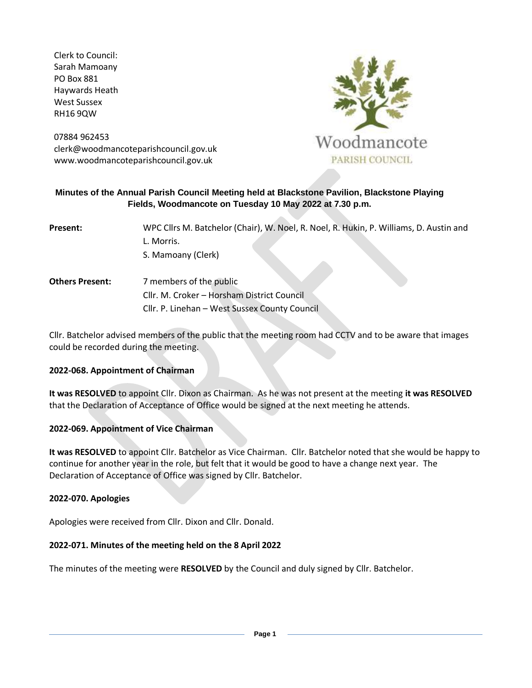Clerk to Council: Sarah Mamoany PO Box 881 Haywards Heath West Sussex RH16 9QW

07884 962453 clerk@woodmancoteparishcouncil.gov.uk www.woodmancoteparishcouncil.gov.uk



## **Minutes of the Annual Parish Council Meeting held at Blackstone Pavilion, Blackstone Playing Fields, Woodmancote on Tuesday 10 May 2022 at 7.30 p.m.**

| Present: | WPC Cllrs M. Batchelor (Chair), W. Noel, R. Noel, R. Hukin, P. Williams, D. Austin and |
|----------|----------------------------------------------------------------------------------------|
|          | L. Morris.                                                                             |
|          | S. Mamoany (Clerk)                                                                     |
|          |                                                                                        |

**Others Present:** 7 members of the public Cllr. M. Croker – Horsham District Council Cllr. P. Linehan – West Sussex County Council

Cllr. Batchelor advised members of the public that the meeting room had CCTV and to be aware that images could be recorded during the meeting.

### **2022-068. Appointment of Chairman**

**It was RESOLVED** to appoint Cllr. Dixon as Chairman. As he was not present at the meeting **it was RESOLVED**  that the Declaration of Acceptance of Office would be signed at the next meeting he attends.

### **2022-069. Appointment of Vice Chairman**

**It was RESOLVED** to appoint Cllr. Batchelor as Vice Chairman. Cllr. Batchelor noted that she would be happy to continue for another year in the role, but felt that it would be good to have a change next year. The Declaration of Acceptance of Office was signed by Cllr. Batchelor.

#### **2022-070. Apologies**

Apologies were received from Cllr. Dixon and Cllr. Donald.

### **2022-071. Minutes of the meeting held on the 8 April 2022**

The minutes of the meeting were **RESOLVED** by the Council and duly signed by Cllr. Batchelor.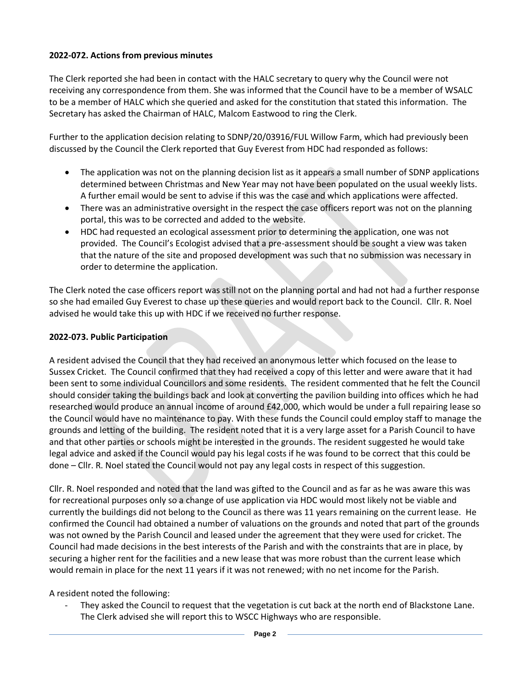# **2022-072. Actions from previous minutes**

The Clerk reported she had been in contact with the HALC secretary to query why the Council were not receiving any correspondence from them. She was informed that the Council have to be a member of WSALC to be a member of HALC which she queried and asked for the constitution that stated this information. The Secretary has asked the Chairman of HALC, Malcom Eastwood to ring the Clerk.

Further to the application decision relating to SDNP/20/03916/FUL Willow Farm, which had previously been discussed by the Council the Clerk reported that Guy Everest from HDC had responded as follows:

- The application was not on the planning decision list as it appears a small number of SDNP applications determined between Christmas and New Year may not have been populated on the usual weekly lists. A further email would be sent to advise if this was the case and which applications were affected.
- There was an administrative oversight in the respect the case officers report was not on the planning portal, this was to be corrected and added to the website.
- HDC had requested an ecological assessment prior to determining the application, one was not provided. The Council's Ecologist advised that a pre-assessment should be sought a view was taken that the nature of the site and proposed development was such that no submission was necessary in order to determine the application.

The Clerk noted the case officers report was still not on the planning portal and had not had a further response so she had emailed Guy Everest to chase up these queries and would report back to the Council. Cllr. R. Noel advised he would take this up with HDC if we received no further response.

#### **2022-073. Public Participation**

A resident advised the Council that they had received an anonymous letter which focused on the lease to Sussex Cricket. The Council confirmed that they had received a copy of this letter and were aware that it had been sent to some individual Councillors and some residents. The resident commented that he felt the Council should consider taking the buildings back and look at converting the pavilion building into offices which he had researched would produce an annual income of around £42,000, which would be under a full repairing lease so the Council would have no maintenance to pay. With these funds the Council could employ staff to manage the grounds and letting of the building. The resident noted that it is a very large asset for a Parish Council to have and that other parties or schools might be interested in the grounds. The resident suggested he would take legal advice and asked if the Council would pay his legal costs if he was found to be correct that this could be done – Cllr. R. Noel stated the Council would not pay any legal costs in respect of this suggestion.

Cllr. R. Noel responded and noted that the land was gifted to the Council and as far as he was aware this was for recreational purposes only so a change of use application via HDC would most likely not be viable and currently the buildings did not belong to the Council as there was 11 years remaining on the current lease. He confirmed the Council had obtained a number of valuations on the grounds and noted that part of the grounds was not owned by the Parish Council and leased under the agreement that they were used for cricket. The Council had made decisions in the best interests of the Parish and with the constraints that are in place, by securing a higher rent for the facilities and a new lease that was more robust than the current lease which would remain in place for the next 11 years if it was not renewed; with no net income for the Parish.

A resident noted the following:

They asked the Council to request that the vegetation is cut back at the north end of Blackstone Lane. The Clerk advised she will report this to WSCC Highways who are responsible.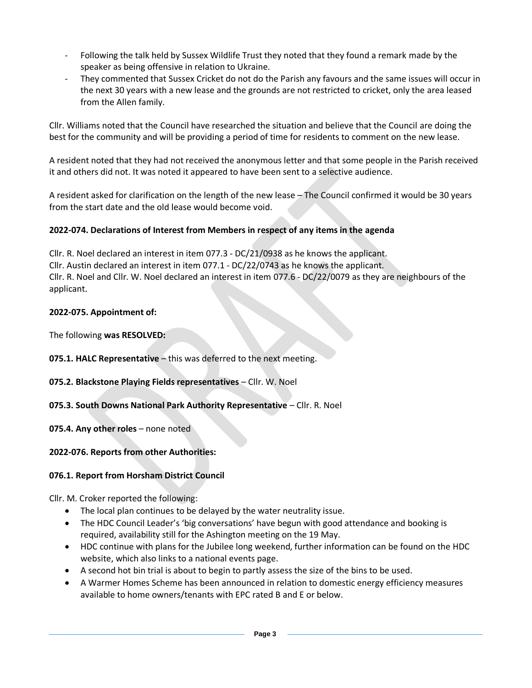- Following the talk held by Sussex Wildlife Trust they noted that they found a remark made by the speaker as being offensive in relation to Ukraine.
- They commented that Sussex Cricket do not do the Parish any favours and the same issues will occur in the next 30 years with a new lease and the grounds are not restricted to cricket, only the area leased from the Allen family.

Cllr. Williams noted that the Council have researched the situation and believe that the Council are doing the best for the community and will be providing a period of time for residents to comment on the new lease.

A resident noted that they had not received the anonymous letter and that some people in the Parish received it and others did not. It was noted it appeared to have been sent to a selective audience.

A resident asked for clarification on the length of the new lease – The Council confirmed it would be 30 years from the start date and the old lease would become void.

# **2022-074. Declarations of Interest from Members in respect of any items in the agenda**

Cllr. R. Noel declared an interest in item 077.3 - DC/21/0938 as he knows the applicant. Cllr. Austin declared an interest in item 077.1 - DC/22/0743 as he knows the applicant. Cllr. R. Noel and Cllr. W. Noel declared an interest in item 077.6 - DC/22/0079 as they are neighbours of the applicant.

## **2022-075. Appointment of:**

The following **was RESOLVED:** 

**075.1. HALC Representative** – this was deferred to the next meeting.

# **075.2. Blackstone Playing Fields representatives** – Cllr. W. Noel

# **075.3. South Downs National Park Authority Representative** – Cllr. R. Noel

**075.4. Any other roles** – none noted

# **2022-076. Reports from other Authorities:**

# **076.1. Report from Horsham District Council**

Cllr. M. Croker reported the following:

- The local plan continues to be delayed by the water neutrality issue.
- The HDC Council Leader's 'big conversations' have begun with good attendance and booking is required, availability still for the Ashington meeting on the 19 May.
- HDC continue with plans for the Jubilee long weekend, further information can be found on the HDC website, which also links to a national events page.
- A second hot bin trial is about to begin to partly assess the size of the bins to be used.
- A Warmer Homes Scheme has been announced in relation to domestic energy efficiency measures available to home owners/tenants with EPC rated B and E or below.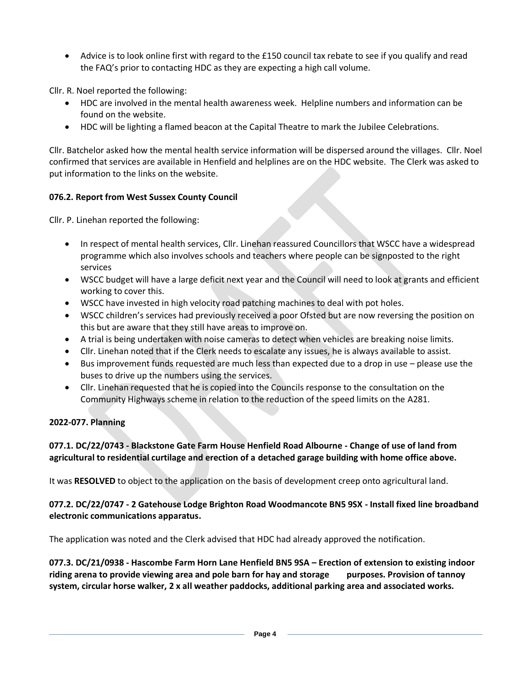• Advice is to look online first with regard to the £150 council tax rebate to see if you qualify and read the FAQ's prior to contacting HDC as they are expecting a high call volume.

Cllr. R. Noel reported the following:

- HDC are involved in the mental health awareness week. Helpline numbers and information can be found on the website.
- HDC will be lighting a flamed beacon at the Capital Theatre to mark the Jubilee Celebrations.

Cllr. Batchelor asked how the mental health service information will be dispersed around the villages. Cllr. Noel confirmed that services are available in Henfield and helplines are on the HDC website. The Clerk was asked to put information to the links on the website.

#### **076.2. Report from West Sussex County Council**

Cllr. P. Linehan reported the following:

- In respect of mental health services, Cllr. Linehan reassured Councillors that WSCC have a widespread programme which also involves schools and teachers where people can be signposted to the right services
- WSCC budget will have a large deficit next year and the Council will need to look at grants and efficient working to cover this.
- WSCC have invested in high velocity road patching machines to deal with pot holes.
- WSCC children's services had previously received a poor Ofsted but are now reversing the position on this but are aware that they still have areas to improve on.
- A trial is being undertaken with noise cameras to detect when vehicles are breaking noise limits.
- Cllr. Linehan noted that if the Clerk needs to escalate any issues, he is always available to assist.
- Bus improvement funds requested are much less than expected due to a drop in use please use the buses to drive up the numbers using the services.
- Cllr. Linehan requested that he is copied into the Councils response to the consultation on the Community Highways scheme in relation to the reduction of the speed limits on the A281.

### **2022-077. Planning**

## **077.1. DC/22/0743 - Blackstone Gate Farm House Henfield Road Albourne - Change of use of land from agricultural to residential curtilage and erection of a detached garage building with home office above.**

It was **RESOLVED** to object to the application on the basis of development creep onto agricultural land.

### **077.2. DC/22/0747 - 2 Gatehouse Lodge Brighton Road Woodmancote BN5 9SX - Install fixed line broadband electronic communications apparatus.**

The application was noted and the Clerk advised that HDC had already approved the notification.

**077.3. DC/21/0938 - Hascombe Farm Horn Lane Henfield BN5 9SA – Erection of extension to existing indoor riding arena to provide viewing area and pole barn for hay and storage purposes. Provision of tannoy system, circular horse walker, 2 x all weather paddocks, additional parking area and associated works.**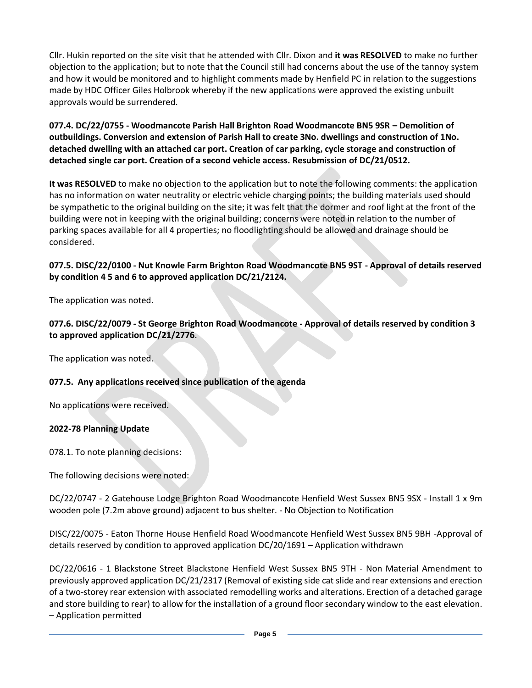Cllr. Hukin reported on the site visit that he attended with Cllr. Dixon and **it was RESOLVED** to make no further objection to the application; but to note that the Council still had concerns about the use of the tannoy system and how it would be monitored and to highlight comments made by Henfield PC in relation to the suggestions made by HDC Officer Giles Holbrook whereby if the new applications were approved the existing unbuilt approvals would be surrendered.

**077.4. DC/22/0755 - Woodmancote Parish Hall Brighton Road Woodmancote BN5 9SR – Demolition of outbuildings. Conversion and extension of Parish Hall to create 3No. dwellings and construction of 1No. detached dwelling with an attached car port. Creation of car parking, cycle storage and construction of detached single car port. Creation of a second vehicle access. Resubmission of DC/21/0512.**

**It was RESOLVED** to make no objection to the application but to note the following comments: the application has no information on water neutrality or electric vehicle charging points; the building materials used should be sympathetic to the original building on the site; it was felt that the dormer and roof light at the front of the building were not in keeping with the original building; concerns were noted in relation to the number of parking spaces available for all 4 properties; no floodlighting should be allowed and drainage should be considered.

## **077.5. DISC/22/0100 - Nut Knowle Farm Brighton Road Woodmancote BN5 9ST - Approval of details reserved by condition 4 5 and 6 to approved application DC/21/2124.**

The application was noted.

#### **077.6. DISC/22/0079 - St George Brighton Road Woodmancote - Approval of details reserved by condition 3 to approved application DC/21/2776**.

The application was noted.

### **077.5. Any applications received since publication of the agenda**

No applications were received.

#### **2022-78 Planning Update**

078.1. To note planning decisions:

The following decisions were noted:

DC/22/0747 - 2 Gatehouse Lodge Brighton Road Woodmancote Henfield West Sussex BN5 9SX - Install 1 x 9m wooden pole (7.2m above ground) adjacent to bus shelter. - No Objection to Notification

DISC/22/0075 - Eaton Thorne House Henfield Road Woodmancote Henfield West Sussex BN5 9BH -Approval of details reserved by condition to approved application DC/20/1691 – Application withdrawn

DC/22/0616 - 1 Blackstone Street Blackstone Henfield West Sussex BN5 9TH - Non Material Amendment to previously approved application DC/21/2317 (Removal of existing side cat slide and rear extensions and erection of a two-storey rear extension with associated remodelling works and alterations. Erection of a detached garage and store building to rear) to allow for the installation of a ground floor secondary window to the east elevation. – Application permitted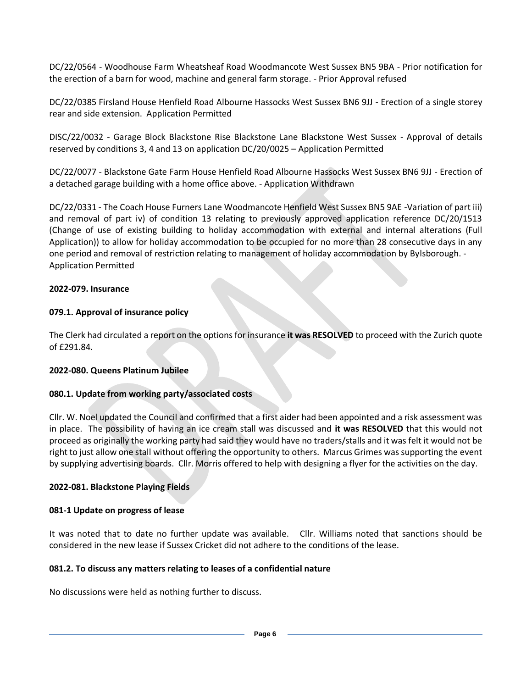DC/22/0564 - Woodhouse Farm Wheatsheaf Road Woodmancote West Sussex BN5 9BA - Prior notification for the erection of a barn for wood, machine and general farm storage. - Prior Approval refused

DC/22/0385 Firsland House Henfield Road Albourne Hassocks West Sussex BN6 9JJ - Erection of a single storey rear and side extension. Application Permitted

DISC/22/0032 - Garage Block Blackstone Rise Blackstone Lane Blackstone West Sussex - Approval of details reserved by conditions 3, 4 and 13 on application DC/20/0025 – Application Permitted

DC/22/0077 - Blackstone Gate Farm House Henfield Road Albourne Hassocks West Sussex BN6 9JJ - Erection of a detached garage building with a home office above. - Application Withdrawn

DC/22/0331 - The Coach House Furners Lane Woodmancote Henfield West Sussex BN5 9AE -Variation of part iii) and removal of part iv) of condition 13 relating to previously approved application reference DC/20/1513 (Change of use of existing building to holiday accommodation with external and internal alterations (Full Application)) to allow for holiday accommodation to be occupied for no more than 28 consecutive days in any one period and removal of restriction relating to management of holiday accommodation by Bylsborough. - Application Permitted

#### **2022-079. Insurance**

### **079.1. Approval of insurance policy**

The Clerk had circulated a report on the options for insurance **it was RESOLVED** to proceed with the Zurich quote of £291.84.

#### **2022-080. Queens Platinum Jubilee**

### **080.1. Update from working party/associated costs**

Cllr. W. Noel updated the Council and confirmed that a first aider had been appointed and a risk assessment was in place. The possibility of having an ice cream stall was discussed and **it was RESOLVED** that this would not proceed as originally the working party had said they would have no traders/stalls and it was felt it would not be right to just allow one stall without offering the opportunity to others. Marcus Grimes was supporting the event by supplying advertising boards. Cllr. Morris offered to help with designing a flyer for the activities on the day.

### **2022-081. Blackstone Playing Fields**

#### **081-1 Update on progress of lease**

It was noted that to date no further update was available. Cllr. Williams noted that sanctions should be considered in the new lease if Sussex Cricket did not adhere to the conditions of the lease.

#### **081.2. To discuss any matters relating to leases of a confidential nature**

No discussions were held as nothing further to discuss.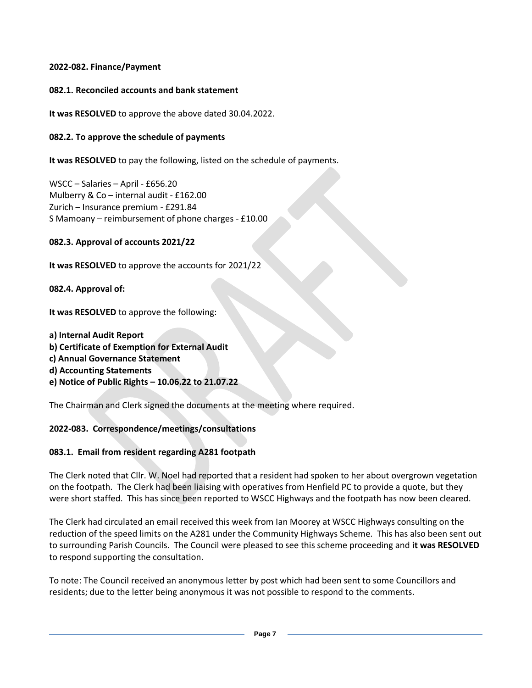## **2022-082. Finance/Payment**

### **082.1. Reconciled accounts and bank statement**

**It was RESOLVED** to approve the above dated 30.04.2022.

## **082.2. To approve the schedule of payments**

**It was RESOLVED** to pay the following, listed on the schedule of payments.

WSCC – Salaries – April - £656.20 Mulberry & Co – internal audit - £162.00 Zurich – Insurance premium - £291.84 S Mamoany – reimbursement of phone charges - £10.00

## **082.3. Approval of accounts 2021/22**

**It was RESOLVED** to approve the accounts for 2021/22

**082.4. Approval of:**

**It was RESOLVED** to approve the following:

**a) Internal Audit Report b) Certificate of Exemption for External Audit c) Annual Governance Statement d) Accounting Statements e) Notice of Public Rights – 10.06.22 to 21.07.22** 

The Chairman and Clerk signed the documents at the meeting where required.

# **2022-083. Correspondence/meetings/consultations**

# **083.1. Email from resident regarding A281 footpath**

The Clerk noted that Cllr. W. Noel had reported that a resident had spoken to her about overgrown vegetation on the footpath. The Clerk had been liaising with operatives from Henfield PC to provide a quote, but they were short staffed. This has since been reported to WSCC Highways and the footpath has now been cleared.

The Clerk had circulated an email received this week from Ian Moorey at WSCC Highways consulting on the reduction of the speed limits on the A281 under the Community Highways Scheme. This has also been sent out to surrounding Parish Councils. The Council were pleased to see this scheme proceeding and **it was RESOLVED**  to respond supporting the consultation.

To note: The Council received an anonymous letter by post which had been sent to some Councillors and residents; due to the letter being anonymous it was not possible to respond to the comments.